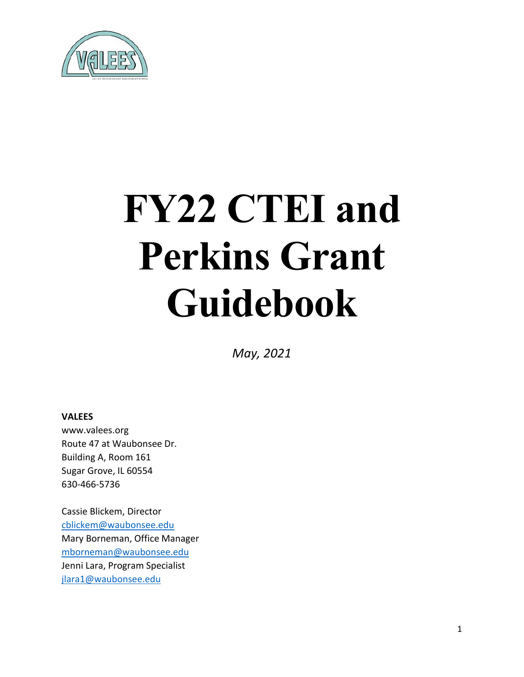

# **FY22 CTEI and Perkins Grant Guidebook**

*May, 2021*

#### **VALEES**

www.valees.org Route 47 at Waubonsee Dr. Building A, Room 161 Sugar Grove, IL 60554 630-466-5736

Cassie Blickem, Director [cblickem@waubonsee.edu](mailto:cblickem@waubonsee.edu) Mary Borneman, Office Manager [mborneman@waubonsee.edu](mailto:mborneman@waubonsee.edu) Jenni Lara, Program Specialist [jlara1@waubonsee.edu](mailto:jlara1@waubonsee.edu)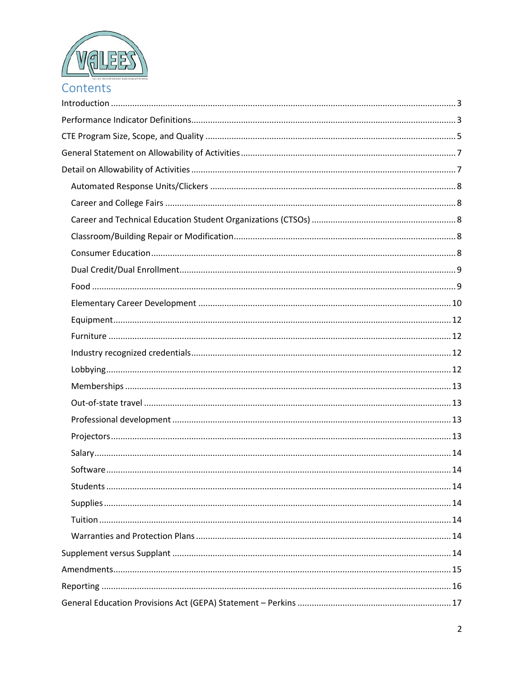

| Contents |  |  |  |
|----------|--|--|--|
|          |  |  |  |
|          |  |  |  |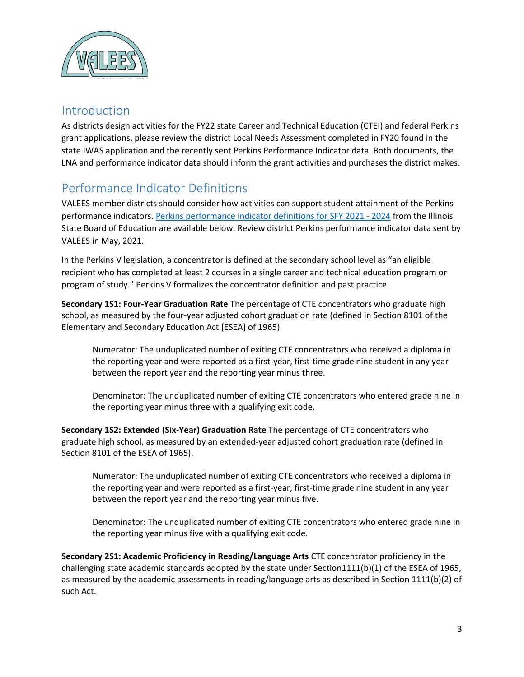

## <span id="page-2-0"></span>Introduction

As districts design activities for the FY22 state Career and Technical Education (CTEI) and federal Perkins grant applications, please review the district Local Needs Assessment completed in FY20 found in the state IWAS application and the recently sent Perkins Performance Indicator data. Both documents, the LNA and performance indicator data should inform the grant activities and purchases the district makes.

# <span id="page-2-1"></span>Performance Indicator Definitions

VALEES member districts should consider how activities can support student attainment of the Perkins performance indicators. [Perkins performance indicator definitions for SFY 2021 -](https://www.isbe.net/Documents/Perkins-V-FY21-24-Secondary-Perf-Indicator-Definitions.pdf) 2024 from the Illinois State Board of Education are available below. Review district Perkins performance indicator data sent by VALEES in May, 2021.

In the Perkins V legislation, a concentrator is defined at the secondary school level as "an eligible recipient who has completed at least 2 courses in a single career and technical education program or program of study." Perkins V formalizes the concentrator definition and past practice.

**Secondary 1S1: Four-Year Graduation Rate** The percentage of CTE concentrators who graduate high school, as measured by the four-year adjusted cohort graduation rate (defined in Section 8101 of the Elementary and Secondary Education Act [ESEA] of 1965).

Numerator: The unduplicated number of exiting CTE concentrators who received a diploma in the reporting year and were reported as a first-year, first-time grade nine student in any year between the report year and the reporting year minus three.

Denominator: The unduplicated number of exiting CTE concentrators who entered grade nine in the reporting year minus three with a qualifying exit code.

**Secondary 1S2: Extended (Six-Year) Graduation Rate** The percentage of CTE concentrators who graduate high school, as measured by an extended-year adjusted cohort graduation rate (defined in Section 8101 of the ESEA of 1965).

Numerator: The unduplicated number of exiting CTE concentrators who received a diploma in the reporting year and were reported as a first-year, first-time grade nine student in any year between the report year and the reporting year minus five.

Denominator: The unduplicated number of exiting CTE concentrators who entered grade nine in the reporting year minus five with a qualifying exit code.

**Secondary 2S1: Academic Proficiency in Reading/Language Arts** CTE concentrator proficiency in the challenging state academic standards adopted by the state under Section1111(b)(1) of the ESEA of 1965, as measured by the academic assessments in reading/language arts as described in Section 1111(b)(2) of such Act.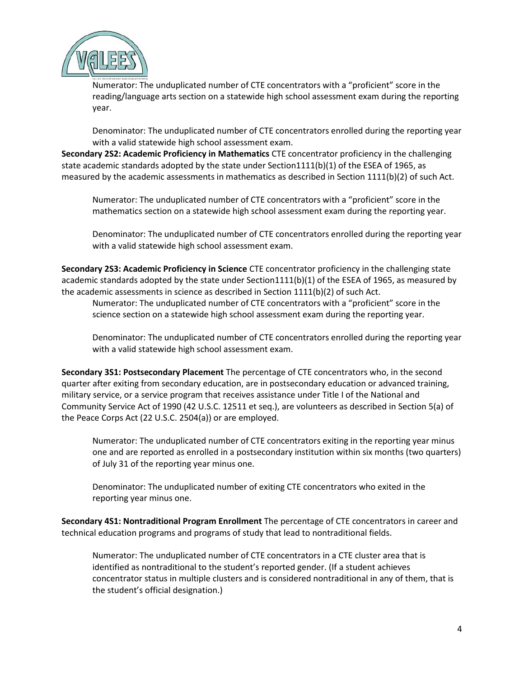

Numerator: The unduplicated number of CTE concentrators with a "proficient" score in the reading/language arts section on a statewide high school assessment exam during the reporting year.

Denominator: The unduplicated number of CTE concentrators enrolled during the reporting year with a valid statewide high school assessment exam.

**Secondary 2S2: Academic Proficiency in Mathematics** CTE concentrator proficiency in the challenging state academic standards adopted by the state under Section1111(b)(1) of the ESEA of 1965, as measured by the academic assessments in mathematics as described in Section 1111(b)(2) of such Act.

Numerator: The unduplicated number of CTE concentrators with a "proficient" score in the mathematics section on a statewide high school assessment exam during the reporting year.

Denominator: The unduplicated number of CTE concentrators enrolled during the reporting year with a valid statewide high school assessment exam.

**Secondary 2S3: Academic Proficiency in Science** CTE concentrator proficiency in the challenging state academic standards adopted by the state under Section1111(b)(1) of the ESEA of 1965, as measured by the academic assessments in science as described in Section 1111(b)(2) of such Act.

Numerator: The unduplicated number of CTE concentrators with a "proficient" score in the science section on a statewide high school assessment exam during the reporting year.

Denominator: The unduplicated number of CTE concentrators enrolled during the reporting year with a valid statewide high school assessment exam.

**Secondary 3S1: Postsecondary Placement** The percentage of CTE concentrators who, in the second quarter after exiting from secondary education, are in postsecondary education or advanced training, military service, or a service program that receives assistance under Title I of the National and Community Service Act of 1990 (42 U.S.C. 12511 et seq.), are volunteers as described in Section 5(a) of the Peace Corps Act (22 U.S.C. 2504(a)) or are employed.

Numerator: The unduplicated number of CTE concentrators exiting in the reporting year minus one and are reported as enrolled in a postsecondary institution within six months (two quarters) of July 31 of the reporting year minus one.

Denominator: The unduplicated number of exiting CTE concentrators who exited in the reporting year minus one.

**Secondary 4S1: Nontraditional Program Enrollment** The percentage of CTE concentrators in career and technical education programs and programs of study that lead to nontraditional fields.

Numerator: The unduplicated number of CTE concentrators in a CTE cluster area that is identified as nontraditional to the student's reported gender. (If a student achieves concentrator status in multiple clusters and is considered nontraditional in any of them, that is the student's official designation.)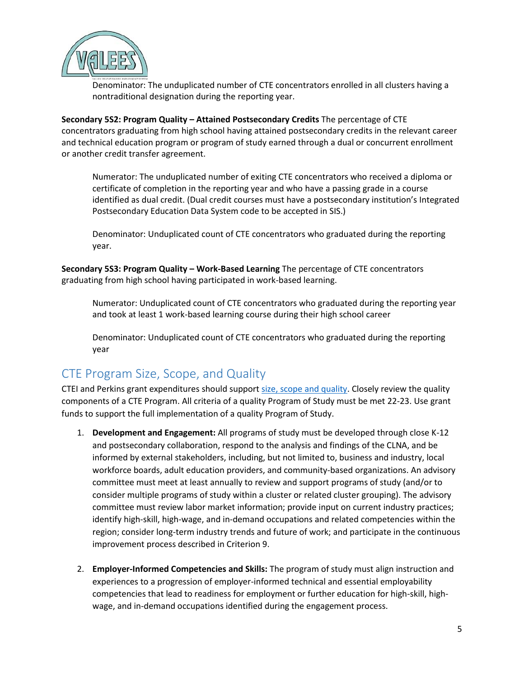

Denominator: The unduplicated number of CTE concentrators enrolled in all clusters having a nontraditional designation during the reporting year.

**Secondary 5S2: Program Quality – Attained Postsecondary Credits** The percentage of CTE concentrators graduating from high school having attained postsecondary credits in the relevant career and technical education program or program of study earned through a dual or concurrent enrollment or another credit transfer agreement.

Numerator: The unduplicated number of exiting CTE concentrators who received a diploma or certificate of completion in the reporting year and who have a passing grade in a course identified as dual credit. (Dual credit courses must have a postsecondary institution's Integrated Postsecondary Education Data System code to be accepted in SIS.)

Denominator: Unduplicated count of CTE concentrators who graduated during the reporting year.

**Secondary 5S3: Program Quality – Work-Based Learning** The percentage of CTE concentrators graduating from high school having participated in work-based learning.

Numerator: Unduplicated count of CTE concentrators who graduated during the reporting year and took at least 1 work-based learning course during their high school career

Denominator: Unduplicated count of CTE concentrators who graduated during the reporting year

# <span id="page-4-0"></span>CTE Program Size, Scope, and Quality

CTEI and Perkins grant expenditures should suppor[t size, scope and quality.](https://www.isbe.net/Documents/Perkins-V-FY21-24-Size-Scope-Quality.pdf) Closely review the quality components of a CTE Program. All criteria of a quality Program of Study must be met 22-23. Use grant funds to support the full implementation of a quality Program of Study.

- 1. **Development and Engagement:** All programs of study must be developed through close K-12 and postsecondary collaboration, respond to the analysis and findings of the CLNA, and be informed by external stakeholders, including, but not limited to, business and industry, local workforce boards, adult education providers, and community-based organizations. An advisory committee must meet at least annually to review and support programs of study (and/or to consider multiple programs of study within a cluster or related cluster grouping). The advisory committee must review labor market information; provide input on current industry practices; identify high-skill, high-wage, and in-demand occupations and related competencies within the region; consider long-term industry trends and future of work; and participate in the continuous improvement process described in Criterion 9.
- 2. **Employer-Informed Competencies and Skills:** The program of study must align instruction and experiences to a progression of employer-informed technical and essential employability competencies that lead to readiness for employment or further education for high-skill, highwage, and in-demand occupations identified during the engagement process.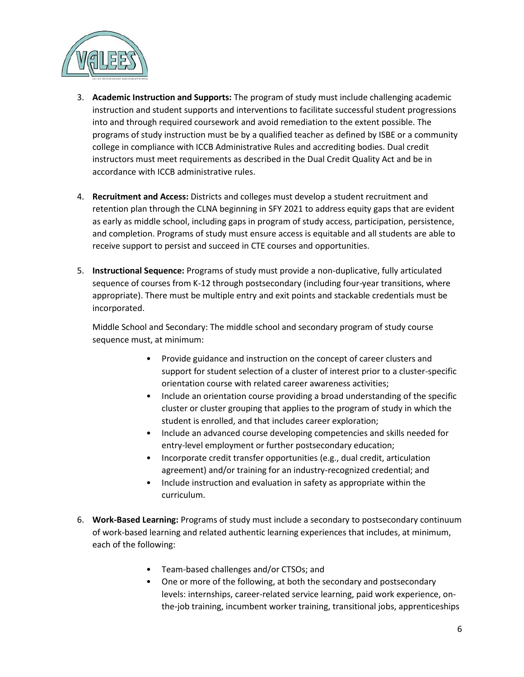

- 3. **Academic Instruction and Supports:** The program of study must include challenging academic instruction and student supports and interventions to facilitate successful student progressions into and through required coursework and avoid remediation to the extent possible. The programs of study instruction must be by a qualified teacher as defined by ISBE or a community college in compliance with ICCB Administrative Rules and accrediting bodies. Dual credit instructors must meet requirements as described in the Dual Credit Quality Act and be in accordance with ICCB administrative rules.
- 4. **Recruitment and Access:** Districts and colleges must develop a student recruitment and retention plan through the CLNA beginning in SFY 2021 to address equity gaps that are evident as early as middle school, including gaps in program of study access, participation, persistence, and completion. Programs of study must ensure access is equitable and all students are able to receive support to persist and succeed in CTE courses and opportunities.
- 5. **Instructional Sequence:** Programs of study must provide a non-duplicative, fully articulated sequence of courses from K-12 through postsecondary (including four-year transitions, where appropriate). There must be multiple entry and exit points and stackable credentials must be incorporated.

Middle School and Secondary: The middle school and secondary program of study course sequence must, at minimum:

- Provide guidance and instruction on the concept of career clusters and support for student selection of a cluster of interest prior to a cluster-specific orientation course with related career awareness activities;
- Include an orientation course providing a broad understanding of the specific cluster or cluster grouping that applies to the program of study in which the student is enrolled, and that includes career exploration;
- Include an advanced course developing competencies and skills needed for entry-level employment or further postsecondary education;
- Incorporate credit transfer opportunities (e.g., dual credit, articulation agreement) and/or training for an industry-recognized credential; and
- Include instruction and evaluation in safety as appropriate within the curriculum.
- 6. **Work-Based Learning:** Programs of study must include a secondary to postsecondary continuum of work-based learning and related authentic learning experiences that includes, at minimum, each of the following:
	- Team-based challenges and/or CTSOs; and
	- One or more of the following, at both the secondary and postsecondary levels: internships, career-related service learning, paid work experience, onthe-job training, incumbent worker training, transitional jobs, apprenticeships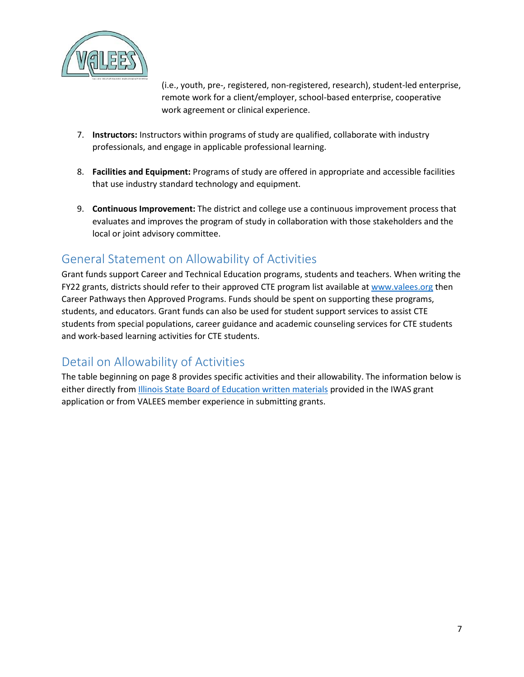

(i.e., youth, pre-, registered, non-registered, research), student-led enterprise, remote work for a client/employer, school-based enterprise, cooperative work agreement or clinical experience.

- 7. **Instructors:** Instructors within programs of study are qualified, collaborate with industry professionals, and engage in applicable professional learning.
- 8. **Facilities and Equipment:** Programs of study are offered in appropriate and accessible facilities that use industry standard technology and equipment.
- 9. **Continuous Improvement:** The district and college use a continuous improvement process that evaluates and improves the program of study in collaboration with those stakeholders and the local or joint advisory committee.

# <span id="page-6-0"></span>General Statement on Allowability of Activities

Grant funds support Career and Technical Education programs, students and teachers. When writing the FY22 grants, districts should refer to their approved CTE program list available at [www.valees.org](http://www.valees.org/) then Career Pathways then Approved Programs. Funds should be spent on supporting these programs, students, and educators. Grant funds can also be used for student support services to assist CTE students from special populations, career guidance and academic counseling services for CTE students and work-based learning activities for CTE students.

# <span id="page-6-1"></span>Detail on Allowability of Activities

The table beginning on page 8 provides specific activities and their allowability. The information below is either directly from **Illinois State Board of Education written materials provided in the IWAS grant** application or from VALEES member experience in submitting grants.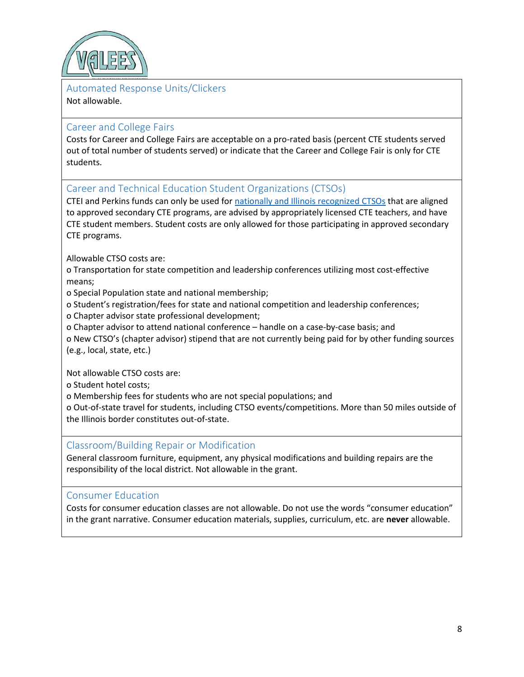

## <span id="page-7-0"></span>Automated Response Units/Clickers

#### Not allowable.

## <span id="page-7-1"></span>Career and College Fairs

Costs for Career and College Fairs are acceptable on a pro-rated basis (percent CTE students served out of total number of students served) or indicate that the Career and College Fair is only for CTE students.

<span id="page-7-2"></span>Career and Technical Education Student Organizations (CTSOs)

CTEI and Perkins funds can only be used for [nationally and Illinois recognized CTSOs](https://www.isbe.net/ctso) that are aligned to approved secondary CTE programs, are advised by appropriately licensed CTE teachers, and have CTE student members. Student costs are only allowed for those participating in approved secondary CTE programs.

Allowable CTSO costs are:

o Transportation for state competition and leadership conferences utilizing most cost-effective means;

o Special Population state and national membership;

o Student's registration/fees for state and national competition and leadership conferences;

o Chapter advisor state professional development;

o Chapter advisor to attend national conference – handle on a case-by-case basis; and

o New CTSO's (chapter advisor) stipend that are not currently being paid for by other funding sources (e.g., local, state, etc.)

Not allowable CTSO costs are:

o Student hotel costs;

o Membership fees for students who are not special populations; and

o Out-of-state travel for students, including CTSO events/competitions. More than 50 miles outside of the Illinois border constitutes out-of-state.

<span id="page-7-3"></span>Classroom/Building Repair or Modification

General classroom furniture, equipment, any physical modifications and building repairs are the responsibility of the local district. Not allowable in the grant.

## <span id="page-7-4"></span>Consumer Education

Costs for consumer education classes are not allowable. Do not use the words "consumer education" in the grant narrative. Consumer education materials, supplies, curriculum, etc. are **never** allowable.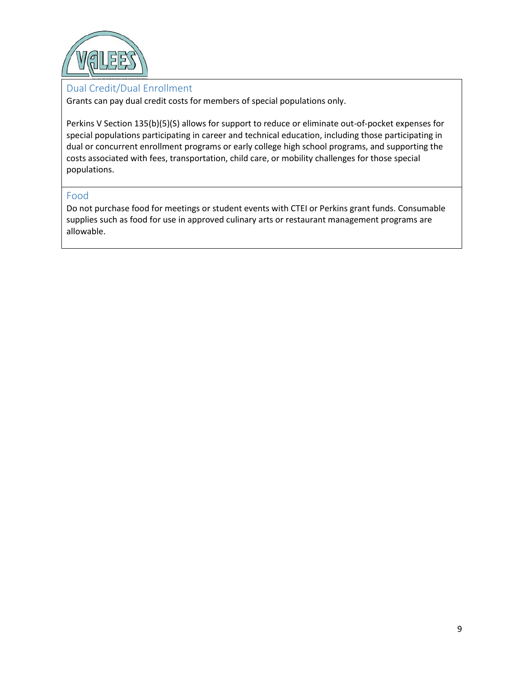

### <span id="page-8-0"></span>Dual Credit/Dual Enrollment

Grants can pay dual credit costs for members of special populations only.

Perkins V Section 135(b)(5)(S) allows for support to reduce or eliminate out-of-pocket expenses for special populations participating in career and technical education, including those participating in dual or concurrent enrollment programs or early college high school programs, and supporting the costs associated with fees, transportation, child care, or mobility challenges for those special populations.

#### <span id="page-8-1"></span>Food

Do not purchase food for meetings or student events with CTEI or Perkins grant funds. Consumable supplies such as food for use in approved culinary arts or restaurant management programs are allowable.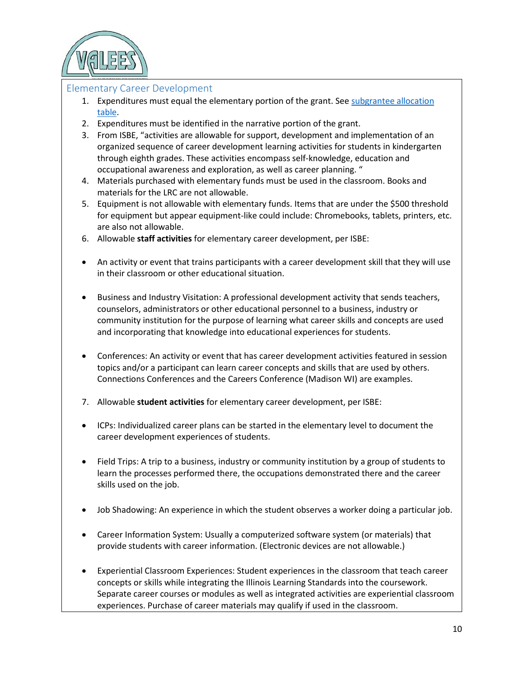

#### <span id="page-9-0"></span>Elementary Career Development

- 1. Expenditures must equal the elementary portion of the grant. Se[e subgrantee allocation](https://www.valees.org/grants/)  [table.](https://www.valees.org/grants/)
- 2. Expenditures must be identified in the narrative portion of the grant.
- 3. From ISBE, "activities are allowable for support, development and implementation of an organized sequence of career development learning activities for students in kindergarten through eighth grades. These activities encompass self-knowledge, education and occupational awareness and exploration, as well as career planning. "
- 4. Materials purchased with elementary funds must be used in the classroom. Books and materials for the LRC are not allowable.
- 5. Equipment is not allowable with elementary funds. Items that are under the \$500 threshold for equipment but appear equipment-like could include: Chromebooks, tablets, printers, etc. are also not allowable.
- 6. Allowable **staff activities** for elementary career development, per ISBE:
- An activity or event that trains participants with a career development skill that they will use in their classroom or other educational situation.
- Business and Industry Visitation: A professional development activity that sends teachers, counselors, administrators or other educational personnel to a business, industry or community institution for the purpose of learning what career skills and concepts are used and incorporating that knowledge into educational experiences for students.
- Conferences: An activity or event that has career development activities featured in session topics and/or a participant can learn career concepts and skills that are used by others. Connections Conferences and the Careers Conference (Madison WI) are examples.
- 7. Allowable **student activities** for elementary career development, per ISBE:
- ICPs: Individualized career plans can be started in the elementary level to document the career development experiences of students.
- Field Trips: A trip to a business, industry or community institution by a group of students to learn the processes performed there, the occupations demonstrated there and the career skills used on the job.
- Job Shadowing: An experience in which the student observes a worker doing a particular job.
- Career Information System: Usually a computerized software system (or materials) that provide students with career information. (Electronic devices are not allowable.)
- Experiential Classroom Experiences: Student experiences in the classroom that teach career concepts or skills while integrating the Illinois Learning Standards into the coursework. Separate career courses or modules as well as integrated activities are experiential classroom experiences. Purchase of career materials may qualify if used in the classroom.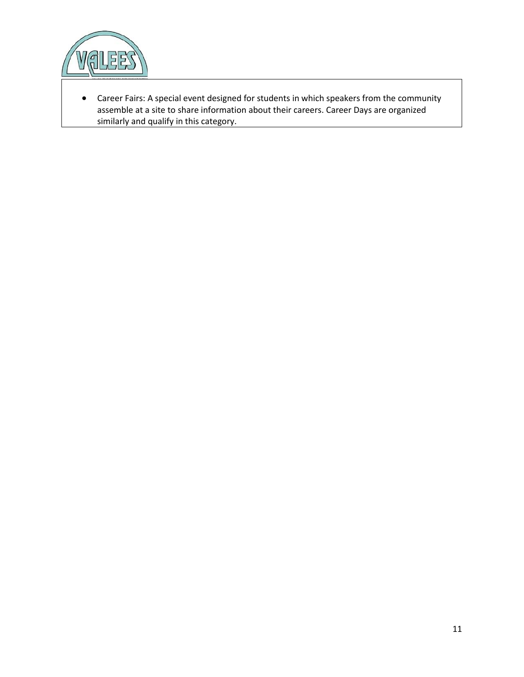

• Career Fairs: A special event designed for students in which speakers from the community assemble at a site to share information about their careers. Career Days are organized similarly and qualify in this category.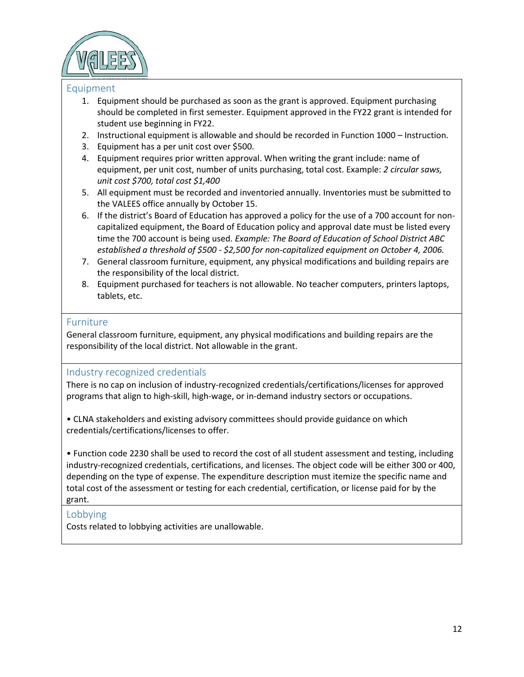

#### <span id="page-11-0"></span>Equipment

- 1. Equipment should be purchased as soon as the grant is approved. Equipment purchasing should be completed in first semester. Equipment approved in the FY22 grant is intended for student use beginning in FY22.
- 2. Instructional equipment is allowable and should be recorded in Function 1000 Instruction.
- 3. Equipment has a per unit cost over \$500.
- 4. Equipment requires prior written approval. When writing the grant include: name of equipment, per unit cost, number of units purchasing, total cost. Example: *2 circular saws, unit cost \$700, total cost \$1,400*
- 5. All equipment must be recorded and inventoried annually. Inventories must be submitted to the VALEES office annually by October 15.
- 6. If the district's Board of Education has approved a policy for the use of a 700 account for noncapitalized equipment, the Board of Education policy and approval date must be listed every time the 700 account is being used. *Example: The Board of Education of School District ABC established a threshold of \$500 - \$2,500 for non-capitalized equipment on October 4, 2006.*
- 7. General classroom furniture, equipment, any physical modifications and building repairs are the responsibility of the local district.
- 8. Equipment purchased for teachers is not allowable. No teacher computers, printers laptops, tablets, etc.

#### <span id="page-11-1"></span>Furniture

General classroom furniture, equipment, any physical modifications and building repairs are the responsibility of the local district. Not allowable in the grant.

#### <span id="page-11-2"></span>Industry recognized credentials

There is no cap on inclusion of industry-recognized credentials/certifications/licenses for approved programs that align to high-skill, high-wage, or in-demand industry sectors or occupations.

• CLNA stakeholders and existing advisory committees should provide guidance on which credentials/certifications/licenses to offer.

• Function code 2230 shall be used to record the cost of all student assessment and testing, including industry-recognized credentials, certifications, and licenses. The object code will be either 300 or 400, depending on the type of expense. The expenditure description must itemize the specific name and total cost of the assessment or testing for each credential, certification, or license paid for by the grant.

## <span id="page-11-3"></span>Lobbying

Costs related to lobbying activities are unallowable.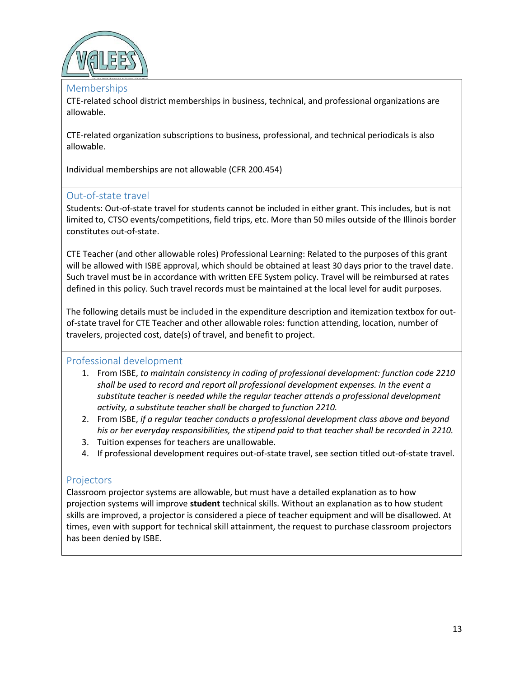

#### <span id="page-12-0"></span>Memberships

CTE-related school district memberships in business, technical, and professional organizations are allowable.

CTE-related organization subscriptions to business, professional, and technical periodicals is also allowable.

Individual memberships are not allowable (CFR 200.454)

#### <span id="page-12-1"></span>Out-of-state travel

Students: Out-of-state travel for students cannot be included in either grant. This includes, but is not limited to, CTSO events/competitions, field trips, etc. More than 50 miles outside of the Illinois border constitutes out-of-state.

CTE Teacher (and other allowable roles) Professional Learning: Related to the purposes of this grant will be allowed with ISBE approval, which should be obtained at least 30 days prior to the travel date. Such travel must be in accordance with written EFE System policy. Travel will be reimbursed at rates defined in this policy. Such travel records must be maintained at the local level for audit purposes.

The following details must be included in the expenditure description and itemization textbox for outof-state travel for CTE Teacher and other allowable roles: function attending, location, number of travelers, projected cost, date(s) of travel, and benefit to project.

#### <span id="page-12-2"></span>Professional development

- 1. From ISBE, *to maintain consistency in coding of professional development: function code 2210 shall be used to record and report all professional development expenses. In the event a substitute teacher is needed while the regular teacher attends a professional development activity, a substitute teacher shall be charged to function 2210.*
- 2. From ISBE, *if a regular teacher conducts a professional development class above and beyond his or her everyday responsibilities, the stipend paid to that teacher shall be recorded in 2210.*
- 3. Tuition expenses for teachers are unallowable.
- 4. If professional development requires out-of-state travel, see section titled out-of-state travel.

#### <span id="page-12-3"></span>**Projectors**

Classroom projector systems are allowable, but must have a detailed explanation as to how projection systems will improve **student** technical skills. Without an explanation as to how student skills are improved, a projector is considered a piece of teacher equipment and will be disallowed. At times, even with support for technical skill attainment, the request to purchase classroom projectors has been denied by ISBE.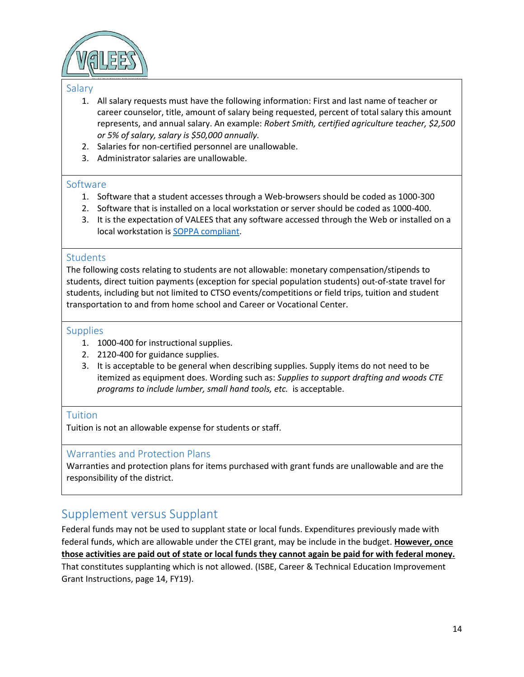

#### <span id="page-13-0"></span>Salary

- 1. All salary requests must have the following information: First and last name of teacher or career counselor, title, amount of salary being requested, percent of total salary this amount represents, and annual salary. An example: *Robert Smith, certified agriculture teacher, \$2,500 or 5% of salary, salary is \$50,000 annually.*
- 2. Salaries for non-certified personnel are unallowable.
- 3. Administrator salaries are unallowable.

#### <span id="page-13-1"></span>Software

- 1. Software that a student accesses through a Web-browsers should be coded as 1000-300
- 2. Software that is installed on a local workstation or server should be coded as 1000-400.
- 3. It is the expectation of VALEES that any software accessed through the Web or installed on a local workstation is [SOPPA compliant.](https://ltcillinois.org/services/ispa/)

#### <span id="page-13-2"></span>**Students**

The following costs relating to students are not allowable: monetary compensation/stipends to students, direct tuition payments (exception for special population students) out-of-state travel for students, including but not limited to CTSO events/competitions or field trips, tuition and student transportation to and from home school and Career or Vocational Center.

#### <span id="page-13-3"></span>**Supplies**

- 1. 1000-400 for instructional supplies.
- 2. 2120-400 for guidance supplies.
- 3. It is acceptable to be general when describing supplies. Supply items do not need to be itemized as equipment does. Wording such as: *Supplies to support drafting and woods CTE programs to include lumber, small hand tools, etc.* is acceptable.

#### <span id="page-13-4"></span>**Tuition**

Tuition is not an allowable expense for students or staff.

#### <span id="page-13-5"></span>Warranties and Protection Plans

Warranties and protection plans for items purchased with grant funds are unallowable and are the responsibility of the district.

# <span id="page-13-6"></span>Supplement versus Supplant

Federal funds may not be used to supplant state or local funds. Expenditures previously made with federal funds, which are allowable under the CTEI grant, may be include in the budget. **However, once those activities are paid out of state or local funds they cannot again be paid for with federal money.**  That constitutes supplanting which is not allowed. (ISBE, Career & Technical Education Improvement Grant Instructions, page 14, FY19).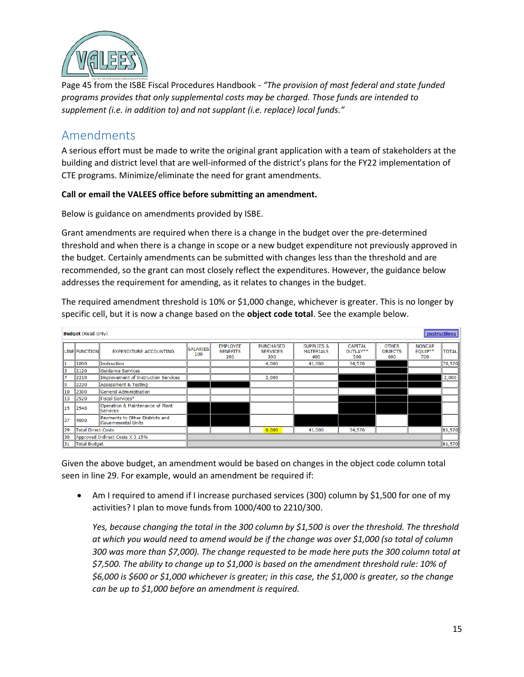

Page 45 from the ISBE Fiscal Procedures Handbook - *"The provision of most federal and state funded programs provides that only supplemental costs may be charged. Those funds are intended to supplement (i.e. in addition to) and not supplant (i.e. replace) local funds."*

## <span id="page-14-0"></span>Amendments

A serious effort must be made to write the original grant application with a team of stakeholders at the building and district level that are well-informed of the district's plans for the FY22 implementation of CTE programs. Minimize/eliminate the need for grant amendments.

#### **Call or email the VALEES office before submitting an amendment.**

Below is guidance on amendments provided by ISBE.

Grant amendments are required when there is a change in the budget over the pre-determined threshold and when there is a change in scope or a new budget expenditure not previously approved in the budget. Certainly amendments can be submitted with changes less than the threshold and are recommended, so the grant can most closely reflect the expenditures. However, the guidance below addresses the requirement for amending, as it relates to changes in the budget.

The required amendment threshold is 10% or \$1,000 change, whichever is greater. This is no longer by specific cell, but it is now a change based on the **object code total**. See the example below.

|                                        | <b>Instructions</b><br><b>Budget</b> (Read Only) |                                                       |                        |                                           |                                            |                                                  |                                   |                                       |                                   |              |
|----------------------------------------|--------------------------------------------------|-------------------------------------------------------|------------------------|-------------------------------------------|--------------------------------------------|--------------------------------------------------|-----------------------------------|---------------------------------------|-----------------------------------|--------------|
|                                        | <b>LINE FUNCTION</b>                             | <b>EXPENDITURE ACCOUNTING</b>                         | <b>SALARIES</b><br>100 | <b>EMPLOYEE</b><br><b>BENEFITS</b><br>200 | <b>PURCHASED</b><br><b>SERVICES</b><br>300 | <b>SUPPLIES &amp;</b><br><b>MATERIALS</b><br>400 | <b>CAPITAL</b><br>OUTLAY**<br>500 | <b>OTHER</b><br><b>OBJECTS</b><br>600 | <b>NONCAP</b><br>$EQUIP**$<br>700 | <b>TOTAL</b> |
|                                        | 1000                                             | <b>Instruction</b>                                    |                        |                                           | 4,000                                      | 41,000                                           | 34,570                            |                                       |                                   | 79,570       |
|                                        | 2120                                             | <b>Guidance Services</b>                              |                        |                                           |                                            |                                                  |                                   |                                       |                                   |              |
|                                        | 2210                                             | Improvement of Instruction Services                   |                        |                                           | 2,000                                      |                                                  |                                   |                                       |                                   | 2,000        |
|                                        | 2230                                             | Assessment & Testing                                  |                        |                                           |                                            |                                                  |                                   |                                       |                                   |              |
| 10                                     | 2300                                             | General Administration                                |                        |                                           |                                            |                                                  |                                   |                                       |                                   |              |
| 13                                     | 2520                                             | Fiscal Services*                                      |                        |                                           |                                            |                                                  |                                   |                                       |                                   |              |
| 15                                     | 2540                                             | Operation & Maintenance of Plant<br><b>Services</b>   |                        |                                           |                                            |                                                  |                                   |                                       |                                   |              |
| 127                                    | 4000                                             | Payments to Other Districts and<br>Governmental Units |                        |                                           |                                            |                                                  |                                   |                                       |                                   |              |
| 29<br><b>Total Direct Costs</b>        |                                                  |                                                       |                        | 6,000                                     | 41,000                                     | 34,570                                           |                                   |                                       | 81,570                            |              |
| Approved Indirect Costs X 3.15%<br>130 |                                                  |                                                       |                        |                                           |                                            |                                                  |                                   |                                       |                                   |              |
| <b>Total Budget</b><br>131             |                                                  |                                                       | 81,570                 |                                           |                                            |                                                  |                                   |                                       |                                   |              |

Given the above budget, an amendment would be based on changes in the object code column total seen in line 29. For example, would an amendment be required if:

• Am I required to amend if I increase purchased services (300) column by \$1,500 for one of my activities? I plan to move funds from 1000/400 to 2210/300.

*Yes, because changing the total in the 300 column by \$1,500 is over the threshold. The threshold at which you would need to amend would be if the change was over \$1,000 (so total of column 300 was more than \$7,000). The change requested to be made here puts the 300 column total at \$7,500. The ability to change up to \$1,000 is based on the amendment threshold rule: 10% of \$6,000 is \$600 or \$1,000 whichever is greater; in this case, the \$1,000 is greater, so the change can be up to \$1,000 before an amendment is required.*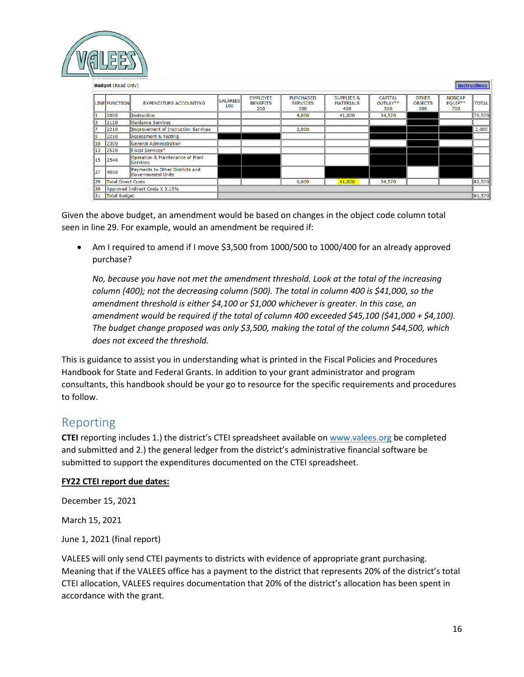

|     | <b>Instructions</b><br><b>Budget</b> (Read Only) |                                                                |                        |                                           |                                            |                                                  |                                   |                                       |                                 |              |
|-----|--------------------------------------------------|----------------------------------------------------------------|------------------------|-------------------------------------------|--------------------------------------------|--------------------------------------------------|-----------------------------------|---------------------------------------|---------------------------------|--------------|
|     | <b>LINE FUNCTION</b>                             | <b>EXPENDITURE ACCOUNTING</b>                                  | <b>SALARIES</b><br>100 | <b>EMPLOYEE</b><br><b>BENEFITS</b><br>200 | <b>PURCHASED</b><br><b>SERVICES</b><br>300 | <b>SUPPLIES &amp;</b><br><b>MATERIALS</b><br>400 | <b>CAPITAL</b><br>OUTLAY**<br>500 | <b>OTHER</b><br><b>OBJECTS</b><br>600 | <b>NONCAP</b><br>EQUIP**<br>700 | <b>TOTAL</b> |
|     | 1000                                             | <b>Instruction</b>                                             |                        |                                           | 4,000                                      | 41,000                                           | 34,570                            |                                       |                                 | 79,570       |
|     | 2120                                             | <b>Guidance Services</b>                                       |                        |                                           |                                            |                                                  |                                   |                                       |                                 |              |
|     | 2210                                             | Improvement of Instruction Services                            |                        |                                           | 2,000                                      |                                                  |                                   |                                       |                                 | 2,000        |
| ١q  | 2230                                             | Assessment & Testing                                           |                        |                                           |                                            |                                                  |                                   |                                       |                                 |              |
| 10  | 2300                                             | <b>General Administration</b>                                  |                        |                                           |                                            |                                                  |                                   |                                       |                                 |              |
| 13  | 2520                                             | Fiscal Services*                                               |                        |                                           |                                            |                                                  |                                   |                                       |                                 |              |
| 15  | 2540                                             | Operation & Maintenance of Plant<br><b>Services</b>            |                        |                                           |                                            |                                                  |                                   |                                       |                                 |              |
| 127 | 4000                                             | Payments to Other Districts and<br><b>l</b> Governmental Units |                        |                                           |                                            |                                                  |                                   |                                       |                                 |              |
| 129 | Total Direct Costs                               |                                                                |                        |                                           | 6,000                                      | 41,000                                           | 34,570                            |                                       |                                 | 81,570       |
| 130 | Approved Indirect Costs X 3.15%                  |                                                                |                        |                                           |                                            |                                                  |                                   |                                       |                                 |              |
| 131 | Total Budget                                     |                                                                |                        |                                           |                                            |                                                  |                                   |                                       |                                 | 81,570       |

Given the above budget, an amendment would be based on changes in the object code column total seen in line 29. For example, would an amendment be required if:

• Am I required to amend if I move \$3,500 from 1000/500 to 1000/400 for an already approved purchase?

*No, because you have not met the amendment threshold. Look at the total of the increasing column (400); not the decreasing column (500). The total in column 400 is \$41,000, so the amendment threshold is either \$4,100 or \$1,000 whichever is greater. In this case, an amendment would be required if the total of column 400 exceeded \$45,100 (\$41,000 + \$4,100). The budget change proposed was only \$3,500, making the total of the column \$44,500, which does not exceed the threshold.* 

This is guidance to assist you in understanding what is printed in the Fiscal Policies and Procedures Handbook for State and Federal Grants. In addition to your grant administrator and program consultants, this handbook should be your go to resource for the specific requirements and procedures to follow.

# <span id="page-15-0"></span>Reporting

**CTEI** reporting includes 1.) the district's CTEI spreadsheet available on [www.valees.org](http://www.valees.org/) be completed and submitted and 2.) the general ledger from the district's administrative financial software be submitted to support the expenditures documented on the CTEI spreadsheet.

## **FY22 CTEI report due dates:**

December 15, 2021

March 15, 2021

June 1, 2021 (final report)

VALEES will only send CTEI payments to districts with evidence of appropriate grant purchasing. Meaning that if the VALEES office has a payment to the district that represents 20% of the district's total CTEI allocation, VALEES requires documentation that 20% of the district's allocation has been spent in accordance with the grant.